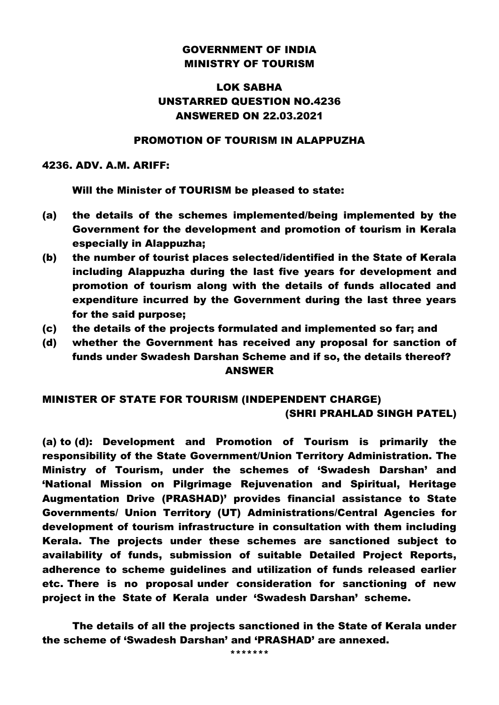### GOVERNMENT OF INDIA MINISTRY OF TOURISM

# LOK SABHA UNSTARRED QUESTION NO.4236 ANSWERED ON 22.03.2021

### PROMOTION OF TOURISM IN ALAPPUZHA

#### 4236. ADV. A.M. ARIFF:

Will the Minister of TOURISM be pleased to state:

- (a) the details of the schemes implemented/being implemented by the Government for the development and promotion of tourism in Kerala especially in Alappuzha;
- (b) the number of tourist places selected/identified in the State of Kerala including Alappuzha during the last five years for development and promotion of tourism along with the details of funds allocated and expenditure incurred by the Government during the last three years for the said purpose;
- (c) the details of the projects formulated and implemented so far; and
- (d) whether the Government has received any proposal for sanction of funds under Swadesh Darshan Scheme and if so, the details thereof? ANSWER

# MINISTER OF STATE FOR TOURISM (INDEPENDENT CHARGE) (SHRI PRAHLAD SINGH PATEL)

(a) to (d): Development and Promotion of Tourism is primarily the responsibility of the State Government/Union Territory Administration. The Ministry of Tourism, under the schemes of 'Swadesh Darshan' and 'National Mission on Pilgrimage Rejuvenation and Spiritual, Heritage Augmentation Drive (PRASHAD)' provides financial assistance to State Governments/ Union Territory (UT) Administrations/Central Agencies for development of tourism infrastructure in consultation with them including Kerala. The projects under these schemes are sanctioned subject to availability of funds, submission of suitable Detailed Project Reports, adherence to scheme guidelines and utilization of funds released earlier etc. There is no proposal under consideration for sanctioning of new project in the State of Kerala under 'Swadesh Darshan' scheme.

The details of all the projects sanctioned in the State of Kerala under the scheme of 'Swadesh Darshan' and 'PRASHAD' are annexed.

\*\*\*\*\*\*\*